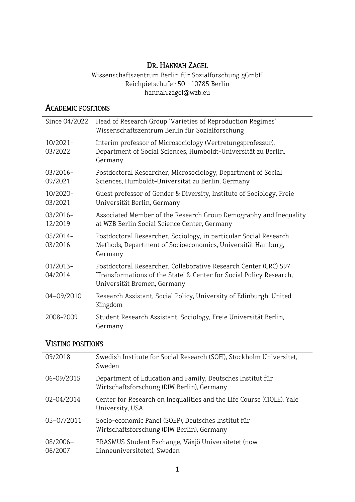# DR. HANNAH ZAGEL

Wissenschaftszentrum Berlin für Sozialforschung gGmbH Reichpietschufer 50 | 10785 Berlin hannah.zagel@wzb.eu

 $\overline{\phantom{a}}$ 

## ACADEMIC POSITIONS

| Since 04/2022          | Head of Research Group "Varieties of Reproduction Regimes"<br>Wissenschaftszentrum Berlin für Sozialforschung                                                          |
|------------------------|------------------------------------------------------------------------------------------------------------------------------------------------------------------------|
| 10/2021-<br>03/2022    | Interim professor of Microsociology (Vertretungsprofessur),<br>Department of Social Sciences, Humboldt-Universität zu Berlin,<br>Germany                               |
| $03/2016 -$<br>09/2021 | Postdoctoral Researcher, Microsociology, Department of Social<br>Sciences, Humboldt-Universität zu Berlin, Germany                                                     |
| 10/2020-<br>03/2021    | Guest professor of Gender & Diversity, Institute of Sociology, Freie<br>Universität Berlin, Germany                                                                    |
| 03/2016-<br>12/2019    | Associated Member of the Research Group Demography and Inequality<br>at WZB Berlin Social Science Center, Germany                                                      |
| $05/2014-$<br>03/2016  | Postdoctoral Researcher, Sociology, in particular Social Research<br>Methods, Department of Socioeconomics, Universität Hamburg,<br>Germany                            |
| $01/2013-$<br>04/2014  | Postdoctoral Researcher, Collaborative Research Center (CRC) 597<br>'Transformations of the State' & Center for Social Policy Research,<br>Universität Bremen, Germany |
| 04-09/2010             | Research Assistant, Social Policy, University of Edinburgh, United<br>Kingdom                                                                                          |
| 2008-2009              | Student Research Assistant, Sociology, Freie Universität Berlin,<br>Germany                                                                                            |

## VISTING POSITIONS

| 09/2018             | Swedish Institute for Social Research (SOFI), Stockholm Universitet,<br>Sweden                           |
|---------------------|----------------------------------------------------------------------------------------------------------|
| 06-09/2015          | Department of Education and Family, Deutsches Institut für<br>Wirtschaftsforschung (DIW Berlin), Germany |
| 02-04/2014          | Center for Research on Inequalities and the Life Course (CIQLE), Yale<br>University, USA                 |
| 05-07/2011          | Socio-economic Panel (SOEP), Deutsches Institut für<br>Wirtschaftsforschung (DIW Berlin), Germany        |
| 08/2006-<br>06/2007 | ERASMUS Student Exchange, Växjö Universitetet (now<br>Linneuniversitetet), Sweden                        |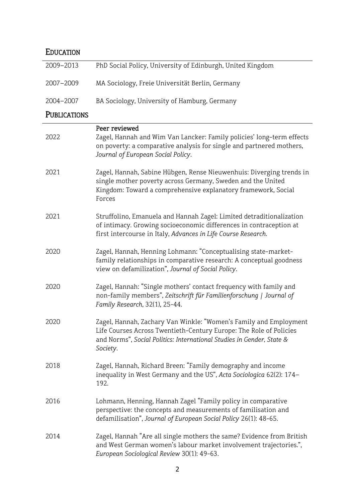# EDUCATION

| 2009-2013           | PhD Social Policy, University of Edinburgh, United Kingdom                                                                                                                                                                   |
|---------------------|------------------------------------------------------------------------------------------------------------------------------------------------------------------------------------------------------------------------------|
| 2007-2009           | MA Sociology, Freie Universität Berlin, Germany                                                                                                                                                                              |
| 2004-2007           | BA Sociology, University of Hamburg, Germany                                                                                                                                                                                 |
| <b>PUBLICATIONS</b> |                                                                                                                                                                                                                              |
| 2022                | Peer reviewed<br>Zagel, Hannah and Wim Van Lancker: Family policies' long-term effects<br>on poverty: a comparative analysis for single and partnered mothers,<br>Journal of European Social Policy.                         |
| 2021                | Zagel, Hannah, Sabine Hübgen, Rense Nieuwenhuis: Diverging trends in<br>single mother poverty across Germany, Sweden and the United<br>Kingdom: Toward a comprehensive explanatory framework, Social<br>Forces               |
| 2021                | Struffolino, Emanuela and Hannah Zagel: Limited detraditionalization<br>of intimacy. Growing socioeconomic differences in contraception at<br>first intercourse in Italy, Advances in Life Course Research.                  |
| 2020                | Zagel, Hannah, Henning Lohmann: "Conceptualising state-market-<br>family relationships in comparative research: A conceptual goodness<br>view on defamilization", Journal of Social Policy.                                  |
| 2020                | Zagel, Hannah: "Single mothers' contact frequency with family and<br>non-family members", Zeitschrift für Familienforschung   Journal of<br>Family Research, 32(1), 25-44.                                                   |
| 2020                | Zagel, Hannah, Zachary Van Winkle: "Women's Family and Employment<br>Life Courses Across Twentieth-Century Europe: The Role of Policies<br>and Norms", Social Politics: International Studies in Gender, State &<br>Society. |
| 2018                | Zagel, Hannah, Richard Breen: "Family demography and income<br>inequality in West Germany and the US", Acta Sociologica 62(2): 174-<br>192.                                                                                  |
| 2016                | Lohmann, Henning, Hannah Zagel "Family policy in comparative<br>perspective: the concepts and measurements of familisation and<br>defamilisation", Journal of European Social Policy 26(1): 48-65.                           |
| 2014                | Zagel, Hannah "Are all single mothers the same? Evidence from British<br>and West German women's labour market involvement trajectories.",<br>European Sociological Review 30(1): 49-63.                                     |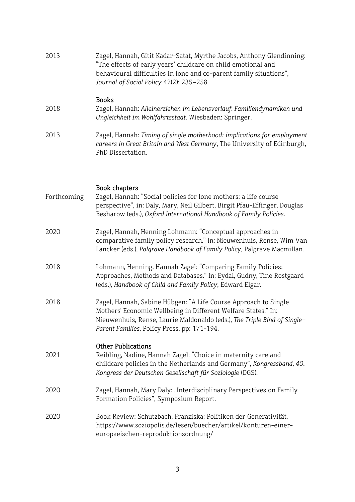| 2013        | Zagel, Hannah, Gitit Kadar-Satat, Myrthe Jacobs, Anthony Glendinning:<br>"The effects of early years' childcare on child emotional and<br>behavioural difficulties in lone and co-parent family situations",<br>Journal of Social Policy 42(2): 235-258.    |
|-------------|-------------------------------------------------------------------------------------------------------------------------------------------------------------------------------------------------------------------------------------------------------------|
| 2018        | <b>Books</b><br>Zagel, Hannah: Alleinerziehen im Lebensverlauf. Familiendynamiken und<br>Ungleichheit im Wohlfahrtsstaat. Wiesbaden: Springer.                                                                                                              |
| 2013        | Zagel, Hannah: Timing of single motherhood: implications for employment<br>careers in Great Britain and West Germany, The University of Edinburgh,<br>PhD Dissertation.                                                                                     |
| Forthcoming | Book chapters<br>Zagel, Hannah: "Social policies for lone mothers: a life course<br>perspective", in: Daly, Mary, Neil Gilbert, Birgit Pfau-Effinger, Douglas<br>Besharow (eds.), Oxford International Handbook of Family Policies.                         |
| 2020        | Zagel, Hannah, Henning Lohmann: "Conceptual approaches in<br>comparative family policy research." In: Nieuwenhuis, Rense, Wim Van<br>Lancker (eds.), Palgrave Handbook of Family Policy, Palgrave Macmillan.                                                |
| 2018        | Lohmann, Henning, Hannah Zagel: "Comparing Family Policies:<br>Approaches, Methods and Databases." In: Eydal, Gudny, Tine Rostgaard<br>(eds.), Handbook of Child and Family Policy, Edward Elgar.                                                           |
| 2018        | Zagel, Hannah, Sabine Hübgen: "A Life Course Approach to Single<br>Mothers' Economic Wellbeing in Different Welfare States." In:<br>Nieuwenhuis, Rense, Laurie Maldonaldo (eds.), The Triple Bind of Single-<br>Parent Families, Policy Press, pp: 171-194. |
| 2021        | <b>Other Publications</b><br>Reibling, Nadine, Hannah Zagel: "Choice in maternity care and<br>childcare policies in the Netherlands and Germany", Kongressband, 40.<br>Kongress der Deutschen Gesellschaft für Soziologie (DGS).                            |
| 2020        | Zagel, Hannah, Mary Daly: "Interdisciplinary Perspectives on Family<br>Formation Policies", Symposium Report.                                                                                                                                               |
| 2020        | Book Review: Schutzbach, Franziska: Politiken der Generativität,<br>https://www.soziopolis.de/lesen/buecher/artikel/konturen-einer-<br>europaeischen-reproduktionsordnung/                                                                                  |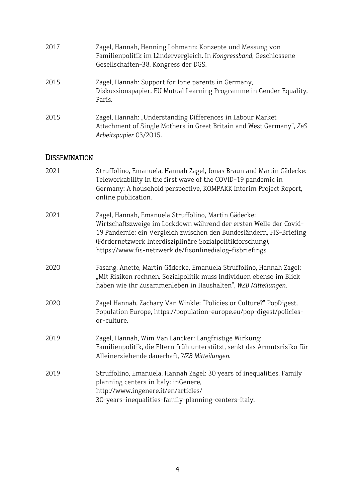| 2017 | Zagel, Hannah, Henning Lohmann: Konzepte und Messung von<br>Familienpolitik im Ländervergleich. In Kongressband, Geschlossene<br>Gesellschaften-38. Kongress der DGS. |
|------|-----------------------------------------------------------------------------------------------------------------------------------------------------------------------|
| 2015 | Zagel, Hannah: Support for lone parents in Germany,<br>Diskussionspapier, EU Mutual Learning Programme in Gender Equality,<br>Paris.                                  |
| 2015 | Zagel, Hannah: "Understanding Differences in Labour Market<br>Attachment of Single Mothers in Great Britain and West Germany", ZeS<br>Arbeitspapier 03/2015.          |

# **DISSEMINATION**

| 2021 | Struffolino, Emanuela, Hannah Zagel, Jonas Braun and Martin Gädecke:<br>Teleworkability in the first wave of the COVID-19 pandemic in<br>Germany: A household perspective, KOMPAKK Interim Project Report,<br>online publication.                                                                                          |
|------|----------------------------------------------------------------------------------------------------------------------------------------------------------------------------------------------------------------------------------------------------------------------------------------------------------------------------|
| 2021 | Zagel, Hannah, Emanuela Struffolino, Martin Gädecke:<br>Wirtschaftszweige im Lockdown während der ersten Welle der Covid-<br>19 Pandemie: ein Vergleich zwischen den Bundesländern, FIS-Briefing<br>(Fördernetzwerk Interdisziplinäre Sozialpolitikforschung),<br>https://www.fis-netzwerk.de/fisonlinedialog-fisbriefings |
| 2020 | Fasang, Anette, Martin Gädecke, Emanuela Struffolino, Hannah Zagel:<br>"Mit Risiken rechnen. Sozialpolitik muss Individuen ebenso im Blick<br>haben wie ihr Zusammenleben in Haushalten", WZB Mitteilungen.                                                                                                                |
| 2020 | Zagel Hannah, Zachary Van Winkle: "Policies or Culture?" PopDigest,<br>Population Europe, https://population-europe.eu/pop-digest/policies-<br>or-culture.                                                                                                                                                                 |
| 2019 | Zagel, Hannah, Wim Van Lancker: Langfristige Wirkung:<br>Familienpolitik, die Eltern früh unterstützt, senkt das Armutsrisiko für<br>Alleinerziehende dauerhaft, WZB Mitteilungen.                                                                                                                                         |
| 2019 | Struffolino, Emanuela, Hannah Zagel: 30 years of inequalities. Family<br>planning centers in Italy: inGenere,<br>http://www.ingenere.it/en/articles/<br>30-years-inequalities-family-planning-centers-italy.                                                                                                               |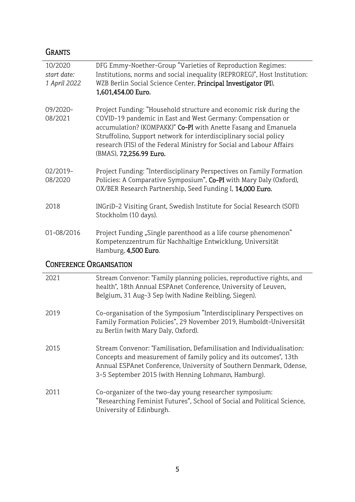# GRANTS

| 10/2020                        | DFG Emmy-Noether-Group "Varieties of Reproduction Regimes:               |
|--------------------------------|--------------------------------------------------------------------------|
| start date:                    | Institutions, norms and social inequality (REPROREG)", Host Institution: |
| 1 April 2022                   | WZB Berlin Social Science Center, Principal Investigator (PI),           |
|                                | 1,601,454.00 Euro.                                                       |
| 09/2020-                       | Project Funding: "Household structure and economic risk during the       |
| 08/2021                        | COVID-19 pandemic in East and West Germany: Compensation or              |
|                                | accumulation? (KOMPAKK)" Co-PI with Anette Fasang and Emanuela           |
|                                | Struffolino, Support network for interdisciplinary social policy         |
|                                | research (FIS) of the Federal Ministry for Social and Labour Affairs     |
|                                | (BMAS), 72,256.99 Euro.                                                  |
| 02/2019-                       | Project Funding: "Interdisciplinary Perspectives on Family Formation     |
| 08/2020                        | Policies: A Comparative Symposium", Co-PI with Mary Daly (Oxford),       |
|                                | OX/BER Research Partnership, Seed Funding I, 14,000 Euro.                |
| 2018                           | INGriD-2 Visiting Grant, Swedish Institute for Social Research (SOFI)    |
|                                | Stockholm (10 days).                                                     |
| 01-08/2016                     | Project Funding "Single parenthood as a life course phenomenon"          |
|                                | Kompetenzzentrum für Nachhaltige Entwicklung, Universität                |
|                                | Hamburg, 4,500 Euro.                                                     |
| <b>CONFERENCE ORGANISATION</b> |                                                                          |

#### 2021 2019 2015 2011 Stream Convenor: "Family planning policies, reproductive rights, and health", 18th Annual ESPAnet Conference, University of Leuven, Belgium, 31 Aug-3 Sep (with Nadine Reibling, Siegen). Co-organisation of the Symposium "Interdisciplinary Perspectives on Family Formation Policies", 29 November 2019, Humboldt-Universität zu Berlin (with Mary Daly, Oxford). Stream Convenor: "Familisation, Defamilisation and Individualisation: Concepts and measurement of family policy and its outcomes", 13th Annual ESPAnet Conference, University of Southern Denmark, Odense, 3-5 September 2015 (with Henning Lohmann, Hamburg). Co-organizer of the two-day young researcher symposium: "Researching Feminist Futures", School of Social and Political Science,

University of Edinburgh.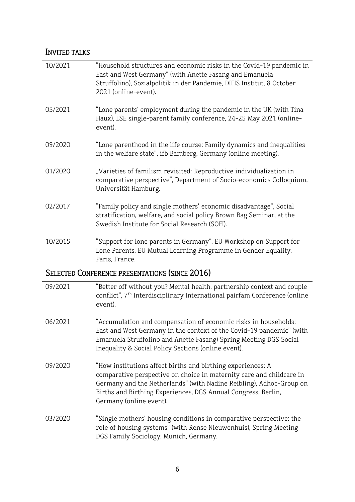### INVITED TALKS

| 10/2021                                               | "Household structures and economic risks in the Covid-19 pandemic in<br>East and West Germany" (with Anette Fasang and Emanuela<br>Struffolino), Sozialpolitik in der Pandemie, DIFIS Institut, 8 October<br>2021 (online-event). |
|-------------------------------------------------------|-----------------------------------------------------------------------------------------------------------------------------------------------------------------------------------------------------------------------------------|
| 05/2021                                               | "Lone parents' employment during the pandemic in the UK (with Tina<br>Haux), LSE single-parent family conference, 24-25 May 2021 (online-<br>event).                                                                              |
| 09/2020                                               | "Lone parenthood in the life course: Family dynamics and inequalities<br>in the welfare state", ifb Bamberg, Germany (online meeting).                                                                                            |
| 01/2020                                               | "Varieties of familism revisited: Reproductive individualization in<br>comparative perspective", Department of Socio-economics Colloquium,<br>Universität Hamburg.                                                                |
| 02/2017                                               | "Family policy and single mothers' economic disadvantage", Social<br>stratification, welfare, and social policy Brown Bag Seminar, at the<br>Swedish Institute for Social Research (SOFI).                                        |
| 10/2015                                               | "Support for lone parents in Germany", EU Workshop on Support for<br>Lone Parents, EU Mutual Learning Programme in Gender Equality,<br>Paris, France.                                                                             |
| <b>SELECTED CONFERENCE PRESENTATIONS (SINCE 2016)</b> |                                                                                                                                                                                                                                   |

- 09/2021 "Better off without you? Mental health, partnership context and couple conflict", 7<sup>th</sup> Interdisciplinary International pairfam Conference (online event).
- 06/2021 "Accumulation and compensation of economic risks in households: East and West Germany in the context of the Covid-19 pandemic" (with Emanuela Struffolino and Anette Fasang) Spring Meeting DGS Social Inequality & Social Policy Sections (online event).
- 09/2020 "How institutions affect births and birthing experiences: A comparative perspective on choice in maternity care and childcare in Germany and the Netherlands" (with Nadine Reibling), Adhoc-Group on Births and Birthing Experiences, DGS Annual Congress, Berlin, Germany (online event).
- 03/2020 "Single mothers' housing conditions in comparative perspective: the role of housing systems" (with Rense Nieuwenhuis), Spring Meeting DGS Family Sociology, Munich, Germany.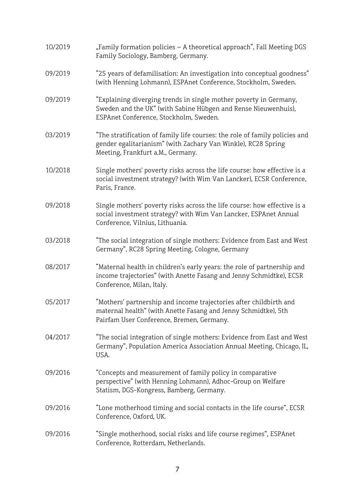10/2019 09/2019 09/2019 03/2019 "Family formation policies – A theoretical approach", Fall Meeting DGS Family Sociology, Bamberg, Germany. "25 years of defamilisation: An investigation into conceptual goodness" (with Henning Lohmann), ESPAnet Conference, Stockholm, Sweden. "Explaining diverging trends in single mother poverty in Germany, Sweden and the UK" (with Sabine Hübgen and Rense Nieuwenhuis), ESPAnet Conference, Stockholm, Sweden. "The stratification of family life courses: the role of family policies and gender egalitarianism" (with Zachary Van Winkle), RC28 Spring Meeting, Frankfurt a.M., Germany. 10/2018 09/2018 03/2018 08/2017 05/2017 04/2017 09/2016 09/2016 09/2016 Single mothers' poverty risks across the life course: how effective is a social investment strategy? (with Wim Van Lancker), ECSR Conference, Paris, France. Single mothers' poverty risks across the life course: how effective is a social investment strategy? with Wim Van Lancker, ESPAnet Annual Conference, Vilnius, Lithuania. "The social integration of single mothers: Evidence from East and West Germany", RC28 Spring Meeting, Cologne, Germany "Maternal health in children's early years: the role of partnership and income trajectories" (with Anette Fasang and Jenny Schmidtke), ECSR Conference, Milan, Italy. "Mothers' partnership and income trajectories after childbirth and maternal health" (with Anette Fasang and Jenny Schmidtke), 5th Pairfam User Conference, Bremen, Germany. "The social integration of single mothers: Evidence from East and West Germany", Population America Association Annual Meeting, Chicago, IL, USA. "Concepts and measurement of family policy in comparative perspective" (with Henning Lohmann), Adhoc-Group on Welfare Statism, DGS-Kongress, Bamberg, Germany. "Lone motherhood timing and social contacts in the life course", ECSR Conference, Oxford, UK. "Single motherhood, social risks and life course regimes", ESPAnet Conference, Rotterdam, Netherlands.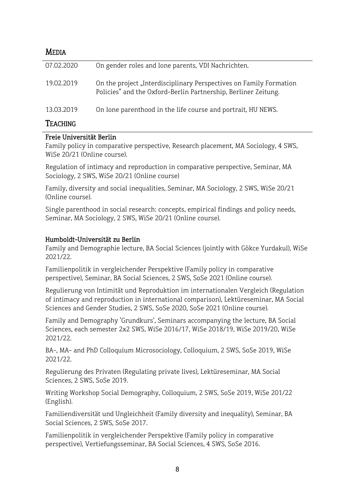| <b>MEDIA</b>        |                                                                                                                                      |
|---------------------|--------------------------------------------------------------------------------------------------------------------------------------|
| 07.02.2020          | On gender roles and lone parents, VDI Nachrichten.                                                                                   |
| 19.02.2019          | On the project "Interdisciplinary Perspectives on Family Formation<br>Policies" and the Oxford-Berlin Partnership, Berliner Zeitung. |
| 13.03.2019          | On lone parenthood in the life course and portrait, HU NEWS.                                                                         |
| $T_{TA}$ or $m_{D}$ |                                                                                                                                      |

### TEACHING

#### Freie Universität Berlin

Family policy in comparative perspective, Research placement, MA Sociology, 4 SWS, WiSe 20/21 (Online course).

Regulation of intimacy and reproduction in comparative perspective, Seminar, MA Sociology, 2 SWS, WiSe 20/21 (Online course)

Family, diversity and social inequalities, Seminar, MA Sociology, 2 SWS, WiSe 20/21 (Online course).

Single parenthood in social research: concepts, empirical findings and policy needs, Seminar, MA Sociology, 2 SWS, WiSe 20/21 (Online course).

#### Humboldt-Universität zu Berlin

Family and Demographie lecture, BA Social Sciences (jointly with Gökce Yurdakul), WiSe 2021/22.

Familienpolitik in vergleichender Perspektive (Family policy in comparative perspective), Seminar, BA Social Sciences, 2 SWS, SoSe 2021 (Online course).

Regulierung von Intimität und Reproduktion im internationalen Vergleich (Regulation of intimacy and reproduction in international comparison), Lektüreseminar, MA Social Sciences and Gender Studies, 2 SWS, SoSe 2020, SoSe 2021 (Online course).

Family and Demography 'Grundkurs', Seminars accompanying the lecture, BA Social Sciences, each semester 2x2 SWS, WiSe 2016/17, WiSe 2018/19, WiSe 2019/20, WiSe 2021/22.

BA-, MA- and PhD Colloquium Microsociology, Colloquium, 2 SWS, SoSe 2019, WiSe 2021/22.

Regulierung des Privaten (Regulating private lives), Lektüreseminar, MA Social Sciences, 2 SWS, SoSe 2019.

Writing Workshop Social Demography, Colloquium, 2 SWS, SoSe 2019, WiSe 201/22 (English).

Familiendiversität und Ungleichheit (Family diversity and inequality), Seminar, BA Social Sciences, 2 SWS, SoSe 2017.

Familienpolitik in vergleichender Perspektive (Family policy in comparative perspective), Vertiefungsseminar, BA Social Sciences, 4 SWS, SoSe 2016.